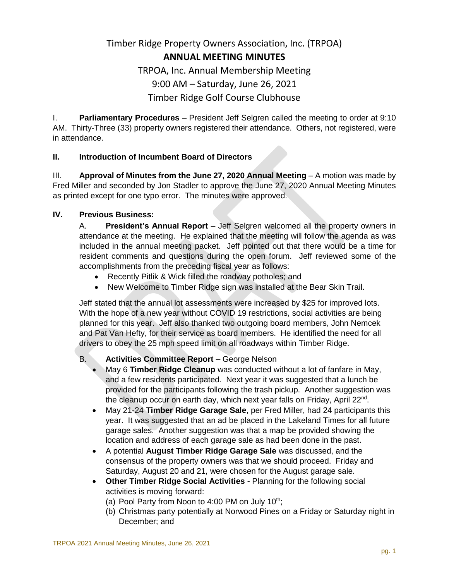# Timber Ridge Property Owners Association, Inc. (TRPOA) **ANNUAL MEETING MINUTES** TRPOA, Inc. Annual Membership Meeting 9:00 AM – Saturday, June 26, 2021

## Timber Ridge Golf Course Clubhouse

I. **Parliamentary Procedures** – President Jeff Selgren called the meeting to order at 9:10 AM. Thirty-Three (33) property owners registered their attendance. Others, not registered, were in attendance.

### **II. Introduction of Incumbent Board of Directors**

III. **Approval of Minutes from the June 27, 2020 Annual Meeting** – A motion was made by Fred Miller and seconded by Jon Stadler to approve the June 27, 2020 Annual Meeting Minutes as printed except for one typo error. The minutes were approved.

#### **IV. Previous Business:**

A. **President's Annual Report** – Jeff Selgren welcomed all the property owners in attendance at the meeting. He explained that the meeting will follow the agenda as was included in the annual meeting packet. Jeff pointed out that there would be a time for resident comments and questions during the open forum. Jeff reviewed some of the accomplishments from the preceding fiscal year as follows:

- Recently Pitlik & Wick filled the roadway potholes; and
- New Welcome to Timber Ridge sign was installed at the Bear Skin Trail.

Jeff stated that the annual lot assessments were increased by \$25 for improved lots. With the hope of a new year without COVID 19 restrictions, social activities are being planned for this year. Jeff also thanked two outgoing board members, John Nemcek and Pat Van Hefty, for their service as board members. He identified the need for all drivers to obey the 25 mph speed limit on all roadways within Timber Ridge.

#### B. **Activities Committee Report –** George Nelson

- May 6 **Timber Ridge Cleanup** was conducted without a lot of fanfare in May, and a few residents participated. Next year it was suggested that a lunch be provided for the participants following the trash pickup. Another suggestion was the cleanup occur on earth day, which next year falls on Friday, April 22<sup>nd</sup>.
- May 21-24 **Timber Ridge Garage Sale**, per Fred Miller, had 24 participants this year. It was suggested that an ad be placed in the Lakeland Times for all future garage sales. Another suggestion was that a map be provided showing the location and address of each garage sale as had been done in the past.
- A potential **August Timber Ridge Garage Sale** was discussed, and the consensus of the property owners was that we should proceed. Friday and Saturday, August 20 and 21, were chosen for the August garage sale.
- **Other Timber Ridge Social Activities -** Planning for the following social activities is moving forward:
	- (a) Pool Party from Noon to 4:00 PM on July  $10^{th}$ ;
	- (b) Christmas party potentially at Norwood Pines on a Friday or Saturday night in December; and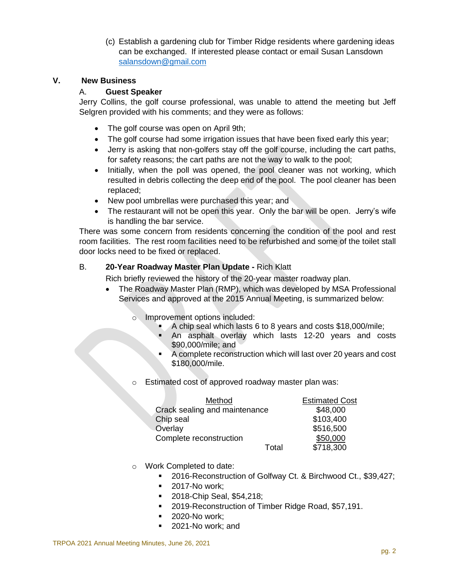(c) Establish a gardening club for Timber Ridge residents where gardening ideas can be exchanged. If interested please contact or email Susan Lansdown [salansdown@gmail.com](mailto:salansdown@gmail.com)

#### **V. New Business**

#### A. **Guest Speaker**

Jerry Collins, the golf course professional, was unable to attend the meeting but Jeff Selgren provided with his comments; and they were as follows:

- The golf course was open on April 9th;
- The golf course had some irrigation issues that have been fixed early this year;
- Jerry is asking that non-golfers stay off the golf course, including the cart paths, for safety reasons; the cart paths are not the way to walk to the pool;
- Initially, when the poll was opened, the pool cleaner was not working, which resulted in debris collecting the deep end of the pool. The pool cleaner has been replaced;
- New pool umbrellas were purchased this year; and
- The restaurant will not be open this year. Only the bar will be open. Jerry's wife is handling the bar service.

There was some concern from residents concerning the condition of the pool and rest room facilities. The rest room facilities need to be refurbished and some of the toilet stall door locks need to be fixed or replaced.

#### B. **20-Year Roadway Master Plan Update -** Rich Klatt

Rich briefly reviewed the history of the 20-year master roadway plan.

- The Roadway Master Plan (RMP), which was developed by MSA Professional Services and approved at the 2015 Annual Meeting, is summarized below:
	- o Improvement options included:
		- A chip seal which lasts 6 to 8 years and costs \$18,000/mile;<br>An asphalt overlay which lasts 12-20 years and come
		- An asphalt overlay which lasts 12-20 years and costs \$90,000/mile; and
		- A complete reconstruction which will last over 20 years and cost \$180,000/mile.
	- o Estimated cost of approved roadway master plan was:

| Method                        |       | <b>Estimated Cost</b> |
|-------------------------------|-------|-----------------------|
| Crack sealing and maintenance |       | \$48,000              |
| Chip seal                     |       | \$103,400             |
| Overlay                       |       | \$516,500             |
| Complete reconstruction       |       | \$50,000              |
|                               | Total | \$718,300             |

- o Work Completed to date:
	- 2016-Reconstruction of Golfway Ct. & Birchwood Ct., \$39,427;
	- 2017-No work;
	- 2018-Chip Seal, \$54,218;
	- 2019-Reconstruction of Timber Ridge Road, \$57,191.
	- **2020-No work;**
	- **2021-No work; and**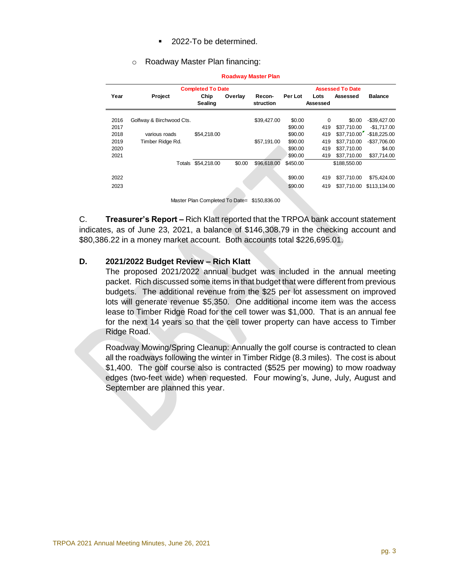- 2022-To be determined.
- o Roadway Master Plan financing:

|      |                          | <b>Completed To Date</b> |         |             |          |          |              |                |
|------|--------------------------|--------------------------|---------|-------------|----------|----------|--------------|----------------|
| Year | <b>Project</b>           | Chip                     | Overlay | Recon-      | Per Lot  | Lots     | Assessed     | <b>Balance</b> |
|      |                          | Sealing                  |         | struction   |          | Assessed |              |                |
| 2016 | Golfway & Birchwood Cts. |                          |         | \$39,427.00 | \$0.00   | 0        | \$0.00       | $-$39,427.00$  |
| 2017 |                          |                          |         |             | \$90.00  | 419      | \$37.710.00  | $-$1.717.00$   |
| 2018 | various roads            | \$54,218.00              |         |             | \$90.00  | 419      | \$37,710.00  | $-$18,225.00$  |
| 2019 | Timber Ridge Rd.         |                          |         | \$57,191.00 | \$90.00  | 419      | \$37.710.00  | $-$37,706.00$  |
| 2020 |                          |                          |         |             | \$90.00  | 419      | \$37,710.00  | \$4.00         |
| 2021 |                          |                          |         |             | \$90.00  | 419      | \$37,710.00  | \$37,714.00    |
|      |                          | Totals \$54,218.00       | \$0.00  | \$96,618.00 | \$450.00 |          | \$188,550.00 |                |
|      |                          |                          |         |             |          |          |              |                |
| 2022 |                          |                          |         |             | \$90.00  | 419      | \$37.710.00  | \$75.424.00    |
| 2023 |                          |                          |         |             | \$90.00  | 419      | \$37,710.00  | \$113.134.00   |
|      |                          |                          |         |             |          |          |              |                |

#### **Roadway Master Plan**

Master Plan Completed To Date= \$150,836.00

C. **Treasurer's Report –** Rich Klatt reported that the TRPOA bank account statement indicates, as of June 23, 2021, a balance of \$146,308.79 in the checking account and \$80,386.22 in a money market account. Both accounts total \$226,695.01.

#### **D. 2021/2022 Budget Review – Rich Klatt**

The proposed 2021/2022 annual budget was included in the annual meeting packet. Rich discussed some items in that budget that were different from previous budgets. The additional revenue from the \$25 per lot assessment on improved lots will generate revenue \$5,350. One additional income item was the access lease to Timber Ridge Road for the cell tower was \$1,000. That is an annual fee for the next 14 years so that the cell tower property can have access to Timber Ridge Road.

Roadway Mowing/Spring Cleanup: Annually the golf course is contracted to clean all the roadways following the winter in Timber Ridge (8.3 miles). The cost is about \$1,400. The golf course also is contracted (\$525 per mowing) to mow roadway edges (two-feet wide) when requested. Four mowing's, June, July, August and September are planned this year.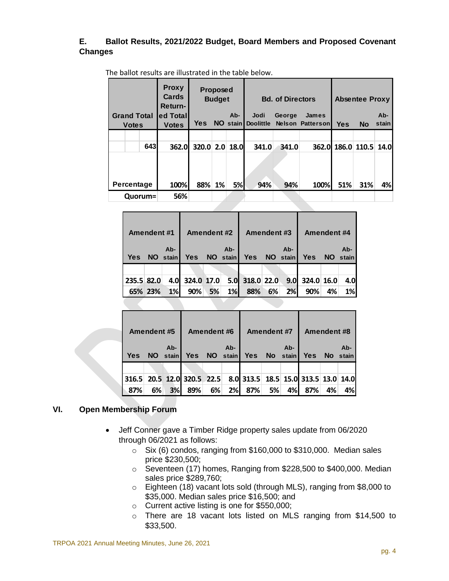#### **E. Ballot Results, 2021/2022 Budget, Board Members and Proposed Covenant Changes**

|                    |         | <b>Proxy</b><br>Cards<br>Return- | Proposed<br><b>Budget</b> |    |          | <b>Bd. of Directors</b> |        |                  | <b>Absentee Proxy</b> |           |       |
|--------------------|---------|----------------------------------|---------------------------|----|----------|-------------------------|--------|------------------|-----------------------|-----------|-------|
| <b>Grand Total</b> |         | ed Total                         |                           |    | $Ab-$    | Jodi                    | George | James            |                       |           | Ab-   |
| <b>Votes</b>       |         | <b>Votes</b>                     | <b>Yes</b>                |    | NO stain | <b>Doolittle</b>        |        | Nelson Patterson | <b>Yes</b>            | <b>No</b> | stain |
|                    |         |                                  |                           |    |          |                         |        |                  |                       |           |       |
|                    | 643     | <b>362.0</b>                     | 320.0 2.0 18.0            |    |          | 341.0                   | 341.0  |                  | 362.0 186.0 110.5     |           | 14.0  |
|                    |         |                                  |                           |    |          |                         |        |                  |                       |           |       |
|                    |         |                                  |                           |    |          |                         |        |                  |                       |           |       |
| Percentage         |         | 100%                             | 88%                       | 1% | 5%       | 94%                     | 94%    | 100%             | 51%                   | 31%       | 4%    |
|                    | Quorum= | 56%                              |                           |    |          |                         |        |                  |                       |           |       |

The ballot results are illustrated in the table below.

| <b>Amendent #1</b> |           | Amendent #2 |            |    | Amendent#3 |                |    | Amendent #4 |                  |           |       |
|--------------------|-----------|-------------|------------|----|------------|----------------|----|-------------|------------------|-----------|-------|
|                    |           | $Ab -$      |            |    | Ab-        |                |    | Ab-         |                  |           | Ab-   |
| Yes                | <b>NO</b> | stain       | <b>Yes</b> |    | NO stain   | <b>Yes</b>     |    | NO stain    | <b>Yes</b>       | <b>NO</b> | stain |
|                    |           |             |            |    |            |                |    |             |                  |           |       |
| 235.5 82.0         |           | 4.OI        | 324.0 17.0 |    |            | 5.0 318.0 22.0 |    |             | $9.0$ 324.0 16.0 |           | 4.OI  |
| 65% 23%            |           | 1%          | 90%        | 5% | 1%         | 88%            | 6% | 2%          | 90%              | 4%        | 1%    |

| Amendent#5 |    | Amendent#6 |                      |          | Amendent #7 |                                     |    | <b>Amendent #8</b> |              |    |     |
|------------|----|------------|----------------------|----------|-------------|-------------------------------------|----|--------------------|--------------|----|-----|
|            |    | Ab-        |                      |          | Ab-         |                                     |    | Ab-                |              |    | Ab- |
| <b>Yes</b> |    | NO stain   | <b>Yes</b>           | NO stain |             | Yes No stain                        |    |                    | Yes No stain |    |     |
|            |    |            |                      |          |             |                                     |    |                    |              |    |     |
| 316.5      |    |            | 20.5 12.0 320.5 22.5 |          |             | 8.0 313.5 18.5 15.0 313.5 13.0 14.0 |    |                    |              |    |     |
| 87%        | 6% | 3%         | 89%                  | 6%       | 2%          | 87%                                 | 5% | 4%                 | 87%          | 4% | 4%l |

### **VI. Open Membership Forum**

- Jeff Conner gave a Timber Ridge property sales update from 06/2020 through 06/2021 as follows:
	- o Six (6) condos, ranging from \$160,000 to \$310,000. Median sales price \$230,500;
	- o Seventeen (17) homes, Ranging from \$228,500 to \$400,000. Median sales price \$289,760;
	- o Eighteen (18) vacant lots sold (through MLS), ranging from \$8,000 to \$35,000. Median sales price \$16,500; and
	- o Current active listing is one for \$550,000;
	- o There are 18 vacant lots listed on MLS ranging from \$14,500 to \$33,500.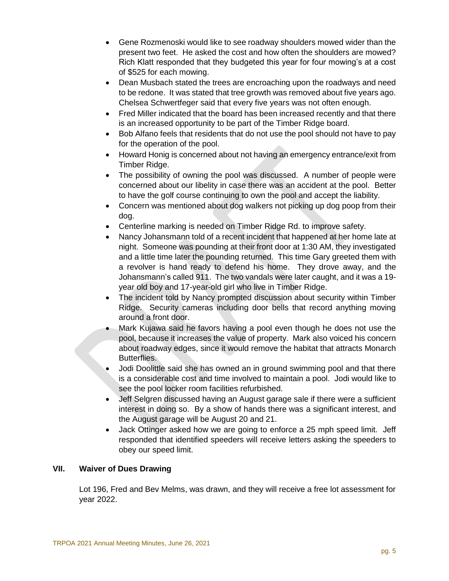- Gene Rozmenoski would like to see roadway shoulders mowed wider than the present two feet. He asked the cost and how often the shoulders are mowed? Rich Klatt responded that they budgeted this year for four mowing's at a cost of \$525 for each mowing.
- Dean Musbach stated the trees are encroaching upon the roadways and need to be redone. It was stated that tree growth was removed about five years ago. Chelsea Schwertfeger said that every five years was not often enough.
- Fred Miller indicated that the board has been increased recently and that there is an increased opportunity to be part of the Timber Ridge board.
- Bob Alfano feels that residents that do not use the pool should not have to pay for the operation of the pool.
- Howard Honig is concerned about not having an emergency entrance/exit from Timber Ridge.
- The possibility of owning the pool was discussed. A number of people were concerned about our libelity in case there was an accident at the pool. Better to have the golf course continuing to own the pool and accept the liability.
- Concern was mentioned about dog walkers not picking up dog poop from their dog.
- Centerline marking is needed on Timber Ridge Rd. to improve safety.
- Nancy Johansmann told of a recent incident that happened at her home late at night. Someone was pounding at their front door at 1:30 AM, they investigated and a little time later the pounding returned. This time Gary greeted them with a revolver is hand ready to defend his home. They drove away, and the Johansmann's called 911. The two vandals were later caught, and it was a 19 year old boy and 17-year-old girl who live in Timber Ridge.
- The incident told by Nancy prompted discussion about security within Timber Ridge. Security cameras including door bells that record anything moving around a front door.
- Mark Kujawa said he favors having a pool even though he does not use the pool, because it increases the value of property. Mark also voiced his concern about roadway edges, since it would remove the habitat that attracts Monarch Butterflies.
- Jodi Doolittle said she has owned an in ground swimming pool and that there is a considerable cost and time involved to maintain a pool. Jodi would like to see the pool locker room facilities refurbished.
- Jeff Selgren discussed having an August garage sale if there were a sufficient interest in doing so. By a show of hands there was a significant interest, and the August garage will be August 20 and 21.
- Jack Ottinger asked how we are going to enforce a 25 mph speed limit. Jeff responded that identified speeders will receive letters asking the speeders to obey our speed limit.

### **VII. Waiver of Dues Drawing**

Lot 196, Fred and Bev Melms, was drawn, and they will receive a free lot assessment for year 2022.